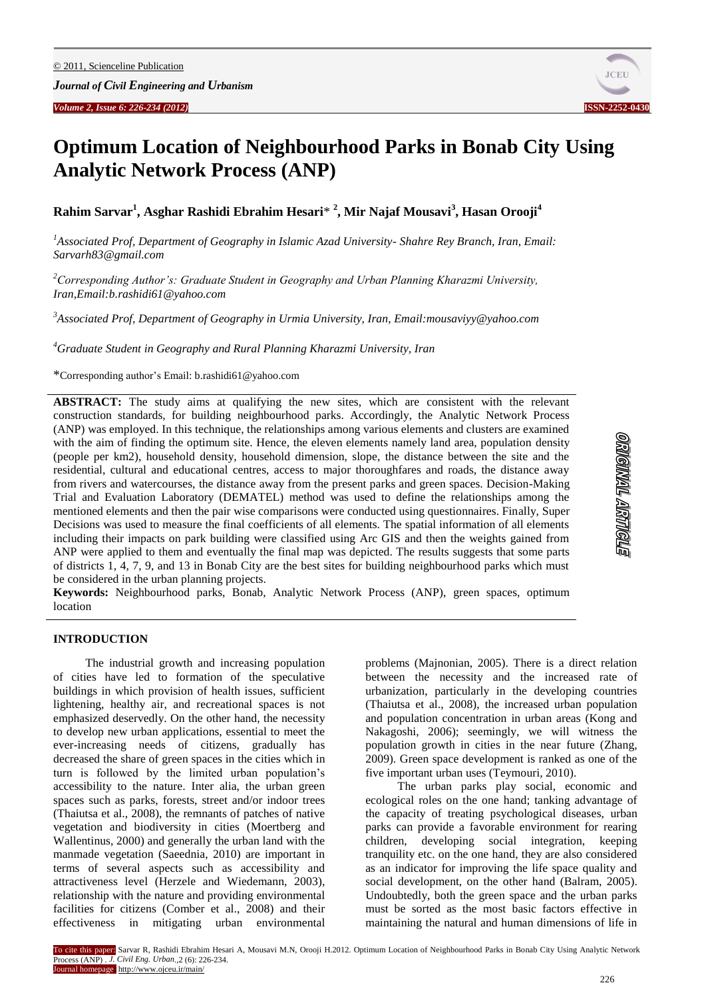

# **Optimum Location of Neighbourhood Parks in Bonab City Using Analytic Network Process (ANP)**

**Rahim Sarvar<sup>1</sup> , Asghar Rashidi Ebrahim Hesari**\* **2 , Mir Najaf Mousavi<sup>3</sup> , Hasan Orooji<sup>4</sup>**

*<sup>1</sup>Associated Prof, Department of Geography in Islamic Azad University- Shahre Rey Branch, Iran, Email: [Sarvarh83@gmail.com](mailto:Sarvarh83@gmail.com)*

*<sup>2</sup>Corresponding Author's: Graduate Student in Geography and Urban Planning Kharazmi University, Iran,Email:b.rashidi61@yahoo.com*

*<sup>3</sup>Associated Prof, Department of Geography in Urmia University, Iran, Email:mousaviyy@yahoo.com*

*<sup>4</sup>Graduate Student in Geography and Rural Planning Kharazmi University, Iran*

\*Corresponding author's Email: b.rashidi61@yahoo.com

**ABSTRACT:** The study aims at qualifying the new sites, which are consistent with the relevant construction standards, for building neighbourhood parks. Accordingly, the Analytic Network Process (ANP) was employed. In this technique, the relationships among various elements and clusters are examined with the aim of finding the optimum site. Hence, the eleven elements namely land area, population density (people per km2), household density, household dimension, slope, the distance between the site and the residential, cultural and educational centres, access to major thoroughfares and roads, the distance away from rivers and watercourses, the distance away from the present parks and green spaces. Decision-Making Trial and Evaluation Laboratory (DEMATEL) method was used to define the relationships among the mentioned elements and then the pair wise comparisons were conducted using questionnaires. Finally, Super Decisions was used to measure the final coefficients of all elements. The spatial information of all elements including their impacts on park building were classified using Arc GIS and then the weights gained from ANP were applied to them and eventually the final map was depicted. The results suggests that some parts of districts 1, 4, 7, 9, and 13 in Bonab City are the best sites for building neighbourhood parks which must be considered in the urban planning projects.

**Keywords:** Neighbourhood parks, Bonab, Analytic Network Process (ANP), green spaces, optimum location

## **INTRODUCTION**

The industrial growth and increasing population of cities have led to formation of the speculative buildings in which provision of health issues, sufficient lightening, healthy air, and recreational spaces is not emphasized deservedly. On the other hand, the necessity to develop new urban applications, essential to meet the ever-increasing needs of citizens, gradually has decreased the share of green spaces in the cities which in turn is followed by the limited urban population's accessibility to the nature. Inter alia, the urban green spaces such as parks, forests, street and/or indoor trees (Thaiutsa et al., 2008), the remnants of patches of native vegetation and biodiversity in cities (Moertberg and Wallentinus, 2000) and generally the urban land with the manmade vegetation (Saeednia, 2010) are important in terms of several aspects such as accessibility and attractiveness level (Herzele and Wiedemann, 2003), relationship with the nature and providing environmental facilities for citizens (Comber et al., 2008) and their effectiveness in mitigating urban environmental

problems (Majnonian, 2005). There is a direct relation between the necessity and the increased rate of urbanization, particularly in the developing countries (Thaiutsa et al., 2008), the increased urban population and population concentration in urban areas (Kong and Nakagoshi, 2006); seemingly, we will witness the population growth in cities in the near future (Zhang, 2009). Green space development is ranked as one of the five important urban uses (Teymouri, 2010).

The urban parks play social, economic and ecological roles on the one hand; tanking advantage of the capacity of treating psychological diseases, urban parks can provide a favorable environment for rearing children, developing social integration, keeping tranquility etc. on the one hand, they are also considered as an indicator for improving the life space quality and social development, on the other hand (Balram, 2005). Undoubtedly, both the green space and the urban parks must be sorted as the most basic factors effective in maintaining the natural and human dimensions of life in

To cite this paper: Sarvar R, Rashidi Ebrahim Hesari A, Mousavi M.N, Orooji H.2012. Optimum Location of Neighbourhood Parks in Bonab City Using Analytic Network Process (ANP) . *J. Civil Eng. Urban*.,2 (6): 226-234. Journal homepage: http://www.ojceu.ir/main/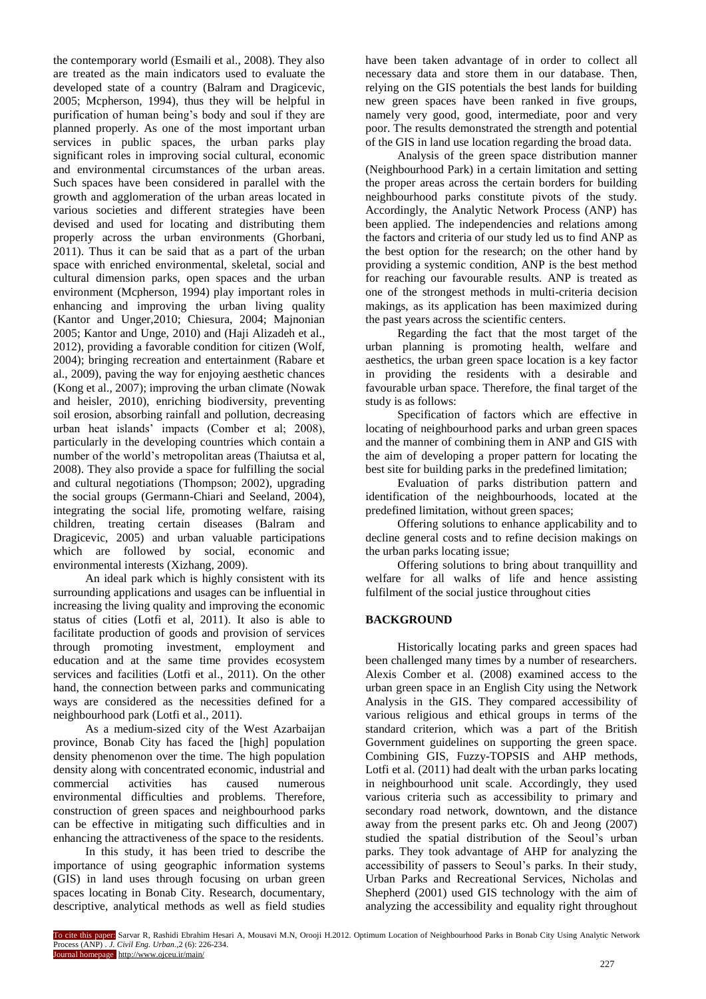the contemporary world (Esmaili et al., 2008). They also are treated as the main indicators used to evaluate the developed state of a country (Balram and Dragicevic, 2005; Mcpherson, 1994), thus they will be helpful in purification of human being's body and soul if they are planned properly. As one of the most important urban services in public spaces, the urban parks play significant roles in improving social cultural, economic and environmental circumstances of the urban areas. Such spaces have been considered in parallel with the growth and agglomeration of the urban areas located in various societies and different strategies have been devised and used for locating and distributing them properly across the urban environments (Ghorbani, 2011). Thus it can be said that as a part of the urban space with enriched environmental, skeletal, social and cultural dimension parks, open spaces and the urban environment (Mcpherson, 1994) play important roles in enhancing and improving the urban living quality (Kantor and Unger,2010; Chiesura, 2004; Majnonian 2005; Kantor and Unge, 2010) and (Haji Alizadeh et al., 2012), providing a favorable condition for citizen (Wolf, 2004); bringing recreation and entertainment (Rabare et al., 2009), paving the way for enjoying aesthetic chances (Kong et al., 2007); improving the urban climate (Nowak and heisler, 2010), enriching biodiversity, preventing soil erosion, absorbing rainfall and pollution, decreasing urban heat islands' impacts (Comber et al; 2008), particularly in the developing countries which contain a number of the world's metropolitan areas (Thaiutsa et al, 2008). They also provide a space for fulfilling the social and cultural negotiations (Thompson; 2002), upgrading the social groups (Germann-Chiari and Seeland, 2004), integrating the social life, promoting welfare, raising children, treating certain diseases (Balram and Dragicevic, 2005) and urban valuable participations which are followed by social, economic and environmental interests (Xizhang, 2009).

An ideal park which is highly consistent with its surrounding applications and usages can be influential in increasing the living quality and improving the economic status of cities (Lotfi et al, 2011). It also is able to facilitate production of goods and provision of services through promoting investment, employment and education and at the same time provides ecosystem services and facilities (Lotfi et al., 2011). On the other hand, the connection between parks and communicating ways are considered as the necessities defined for a neighbourhood park (Lotfi et al., 2011).

As a medium-sized city of the West Azarbaijan province, Bonab City has faced the [high] population density phenomenon over the time. The high population density along with concentrated economic, industrial and commercial activities has caused numerous environmental difficulties and problems. Therefore, construction of green spaces and neighbourhood parks can be effective in mitigating such difficulties and in enhancing the attractiveness of the space to the residents.

In this study, it has been tried to describe the importance of using geographic information systems (GIS) in land uses through focusing on urban green spaces locating in Bonab City. Research, documentary, descriptive, analytical methods as well as field studies

have been taken advantage of in order to collect all necessary data and store them in our database. Then, relying on the GIS potentials the best lands for building new green spaces have been ranked in five groups, namely very good, good, intermediate, poor and very poor. The results demonstrated the strength and potential of the GIS in land use location regarding the broad data.

Analysis of the green space distribution manner (Neighbourhood Park) in a certain limitation and setting the proper areas across the certain borders for building neighbourhood parks constitute pivots of the study. Accordingly, the Analytic Network Process (ANP) has been applied. The independencies and relations among the factors and criteria of our study led us to find ANP as the best option for the research; on the other hand by providing a systemic condition, ANP is the best method for reaching our favourable results. ANP is treated as one of the strongest methods in multi-criteria decision makings, as its application has been maximized during the past years across the scientific centers.

Regarding the fact that the most target of the urban planning is promoting health, welfare and aesthetics, the urban green space location is a key factor in providing the residents with a desirable and favourable urban space. Therefore, the final target of the study is as follows:

Specification of factors which are effective in locating of neighbourhood parks and urban green spaces and the manner of combining them in ANP and GIS with the aim of developing a proper pattern for locating the best site for building parks in the predefined limitation;

Evaluation of parks distribution pattern and identification of the neighbourhoods, located at the predefined limitation, without green spaces;

Offering solutions to enhance applicability and to decline general costs and to refine decision makings on the urban parks locating issue;

Offering solutions to bring about tranquillity and welfare for all walks of life and hence assisting fulfilment of the social justice throughout cities

## **BACKGROUND**

Historically locating parks and green spaces had been challenged many times by a number of researchers. Alexis Comber et al. (2008) examined access to the urban green space in an English City using the Network Analysis in the GIS. They compared accessibility of various religious and ethical groups in terms of the standard criterion, which was a part of the British Government guidelines on supporting the green space. Combining GIS, Fuzzy-TOPSIS and AHP methods, Lotfi et al. (2011) had dealt with the urban parks locating in neighbourhood unit scale. Accordingly, they used various criteria such as accessibility to primary and secondary road network, downtown, and the distance away from the present parks etc. Oh and Jeong (2007) studied the spatial distribution of the Seoul's urban parks. They took advantage of AHP for analyzing the accessibility of passers to Seoul's parks. In their study, Urban Parks and Recreational Services, Nicholas and Shepherd (2001) used GIS technology with the aim of analyzing the accessibility and equality right throughout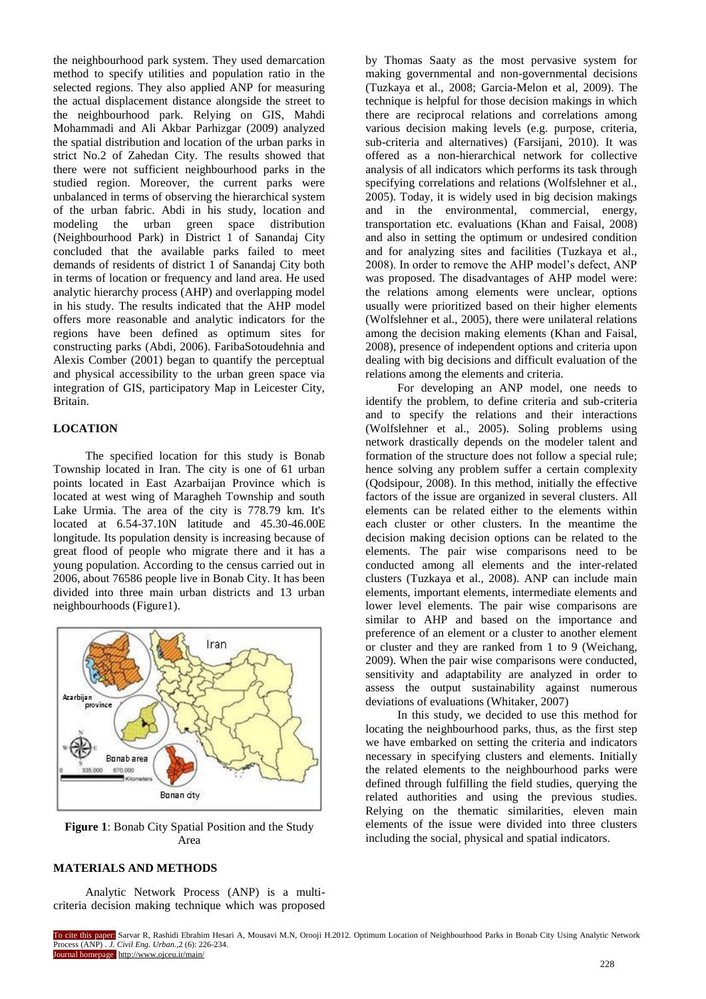the neighbourhood park system. They used demarcation method to specify utilities and population ratio in the selected regions. They also applied ANP for measuring the actual displacement distance alongside the street to the neighbourhood park. Relying on GIS, Mahdi Mohammadi and Ali Akbar Parhizgar (2009) analyzed the spatial distribution and location of the urban parks in strict No.2 of Zahedan City. The results showed that there were not sufficient neighbourhood parks in the studied region. Moreover, the current parks were unbalanced in terms of observing the hierarchical system of the urban fabric. Abdi in his study, location and modeling the urban green space distribution (Neighbourhood Park) in District 1 of Sanandaj City concluded that the available parks failed to meet demands of residents of district 1 of Sanandaj City both in terms of location or frequency and land area. He used analytic hierarchy process (AHP) and overlapping model in his study. The results indicated that the AHP model offers more reasonable and analytic indicators for the regions have been defined as optimum sites for constructing parks (Abdi, 2006). FaribaSotoudehnia and Alexis Comber (2001) began to quantify the perceptual and physical accessibility to the urban green space via integration of GIS, participatory Map in Leicester City, Britain.

## **LOCATION**

The specified location for this study is Bonab Township located in Iran. The city is one of 61 urban points located in East Azarbaijan Province which is located at west wing of Maragheh Township and south Lake Urmia. The area of the city is 778.79 km. It's located at 6.54-37.10N latitude and 45.30-46.00E longitude. Its population density is increasing because of great flood of people who migrate there and it has a young population. According to the census carried out in 2006, about 76586 people live in Bonab City. It has been divided into three main urban districts and 13 urban neighbourhoods (Figure1).



**Figure 1**: Bonab City Spatial Position and the Study Area

## **MATERIALS AND METHODS**

Analytic Network Process (ANP) is a multicriteria decision making technique which was proposed by Thomas Saaty as the most pervasive system for making governmental and non-governmental decisions (Tuzkaya et al., 2008; Garcia-Melon et al, 2009). The technique is helpful for those decision makings in which there are reciprocal relations and correlations among various decision making levels (e.g. purpose, criteria, sub-criteria and alternatives) (Farsijani, 2010). It was offered as a non-hierarchical network for collective analysis of all indicators which performs its task through specifying correlations and relations (Wolfslehner et al., 2005). Today, it is widely used in big decision makings and in the environmental, commercial, energy, transportation etc. evaluations (Khan and Faisal, 2008) and also in setting the optimum or undesired condition and for analyzing sites and facilities (Tuzkaya et al., 2008). In order to remove the AHP model's defect, ANP was proposed. The disadvantages of AHP model were: the relations among elements were unclear, options usually were prioritized based on their higher elements (Wolfslehner et al., 2005), there were unilateral relations among the decision making elements (Khan and Faisal, 2008), presence of independent options and criteria upon dealing with big decisions and difficult evaluation of the relations among the elements and criteria.

For developing an ANP model, one needs to identify the problem, to define criteria and sub-criteria and to specify the relations and their interactions (Wolfslehner et al., 2005). Soling problems using network drastically depends on the modeler talent and formation of the structure does not follow a special rule; hence solving any problem suffer a certain complexity (Qodsipour, 2008). In this method, initially the effective factors of the issue are organized in several clusters. All elements can be related either to the elements within each cluster or other clusters. In the meantime the decision making decision options can be related to the elements. The pair wise comparisons need to be conducted among all elements and the inter-related clusters (Tuzkaya et al., 2008). ANP can include main elements, important elements, intermediate elements and lower level elements. The pair wise comparisons are similar to AHP and based on the importance and preference of an element or a cluster to another element or cluster and they are ranked from 1 to 9 (Weichang, 2009). When the pair wise comparisons were conducted, sensitivity and adaptability are analyzed in order to assess the output sustainability against numerous deviations of evaluations (Whitaker, 2007)

In this study, we decided to use this method for locating the neighbourhood parks, thus, as the first step we have embarked on setting the criteria and indicators necessary in specifying clusters and elements. Initially the related elements to the neighbourhood parks were defined through fulfilling the field studies, querying the related authorities and using the previous studies. Relying on the thematic similarities, eleven main elements of the issue were divided into three clusters including the social, physical and spatial indicators.

To cite this paper: Sarvar R, Rashidi Ebrahim Hesari A, Mousavi M.N, Orooji H.2012. Optimum Location of Neighbourhood Parks in Bonab City Using Analytic Network Process (ANP) . *J. Civil Eng. Urban*.,2 (6): 226-234. Journal homepage http://www.ojceu.ir/main/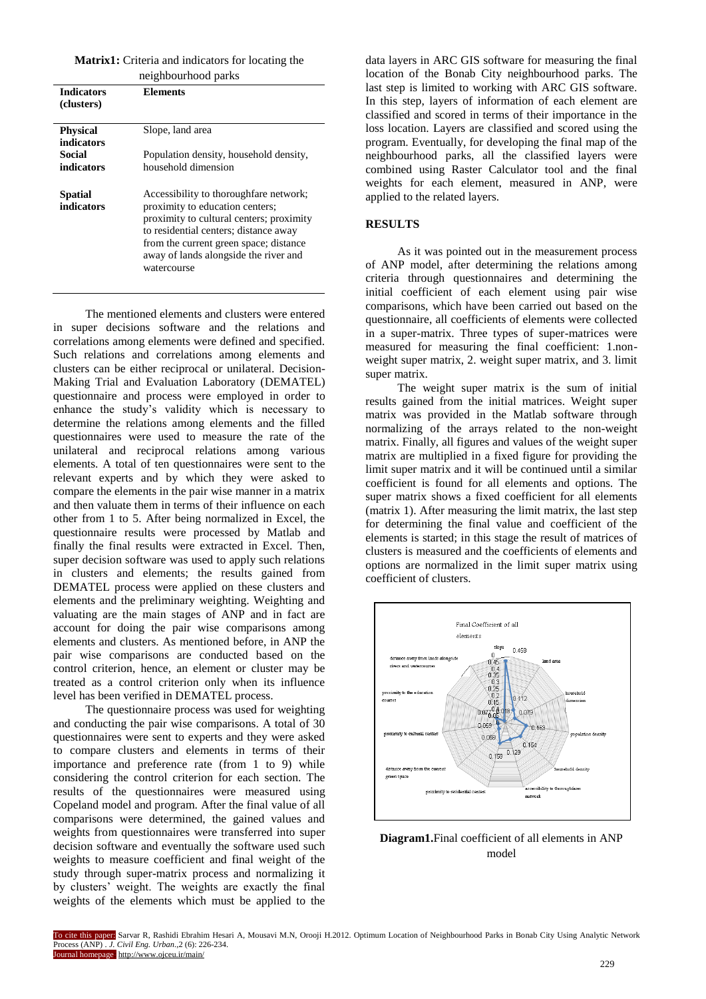#### **Matrix1:** Criteria and indicators for locating the

| neighbourhood parks             |                                                                                                                                                                                                                                                                  |  |  |  |  |
|---------------------------------|------------------------------------------------------------------------------------------------------------------------------------------------------------------------------------------------------------------------------------------------------------------|--|--|--|--|
| <b>Indicators</b><br>(clusters) | Elements                                                                                                                                                                                                                                                         |  |  |  |  |
| <b>Physical</b><br>indicators   | Slope, land area                                                                                                                                                                                                                                                 |  |  |  |  |
| Social<br>indicators            | Population density, household density,<br>household dimension                                                                                                                                                                                                    |  |  |  |  |
| <b>Spatial</b><br>indicators    | Accessibility to thoroughfare network;<br>proximity to education centers;<br>proximity to cultural centers; proximity<br>to residential centers; distance away<br>from the current green space; distance<br>away of lands alongside the river and<br>watercourse |  |  |  |  |

The mentioned elements and clusters were entered in super decisions software and the relations and correlations among elements were defined and specified. Such relations and correlations among elements and clusters can be either reciprocal or unilateral. Decision-Making Trial and Evaluation Laboratory (DEMATEL) questionnaire and process were employed in order to enhance the study's validity which is necessary to determine the relations among elements and the filled questionnaires were used to measure the rate of the unilateral and reciprocal relations among various elements. A total of ten questionnaires were sent to the relevant experts and by which they were asked to compare the elements in the pair wise manner in a matrix and then valuate them in terms of their influence on each other from 1 to 5. After being normalized in Excel, the questionnaire results were processed by Matlab and finally the final results were extracted in Excel. Then, super decision software was used to apply such relations in clusters and elements; the results gained from DEMATEL process were applied on these clusters and elements and the preliminary weighting. Weighting and valuating are the main stages of ANP and in fact are account for doing the pair wise comparisons among elements and clusters. As mentioned before, in ANP the pair wise comparisons are conducted based on the control criterion, hence, an element or cluster may be treated as a control criterion only when its influence level has been verified in DEMATEL process.

The questionnaire process was used for weighting and conducting the pair wise comparisons. A total of 30 questionnaires were sent to experts and they were asked to compare clusters and elements in terms of their importance and preference rate (from 1 to 9) while considering the control criterion for each section. The results of the questionnaires were measured using Copeland model and program. After the final value of all comparisons were determined, the gained values and weights from questionnaires were transferred into super decision software and eventually the software used such weights to measure coefficient and final weight of the study through super-matrix process and normalizing it by clusters' weight. The weights are exactly the final weights of the elements which must be applied to the data layers in ARC GIS software for measuring the final location of the Bonab City neighbourhood parks. The last step is limited to working with ARC GIS software. In this step, layers of information of each element are classified and scored in terms of their importance in the loss location. Layers are classified and scored using the program. Eventually, for developing the final map of the neighbourhood parks, all the classified layers were combined using Raster Calculator tool and the final weights for each element, measured in ANP, were applied to the related layers.

#### **RESULTS**

As it was pointed out in the measurement process of ANP model, after determining the relations among criteria through questionnaires and determining the initial coefficient of each element using pair wise comparisons, which have been carried out based on the questionnaire, all coefficients of elements were collected in a super-matrix. Three types of super-matrices were measured for measuring the final coefficient: 1.nonweight super matrix, 2. weight super matrix, and 3. limit super matrix.

The weight super matrix is the sum of initial results gained from the initial matrices. Weight super matrix was provided in the Matlab software through normalizing of the arrays related to the non-weight matrix. Finally, all figures and values of the weight super matrix are multiplied in a fixed figure for providing the limit super matrix and it will be continued until a similar coefficient is found for all elements and options. The super matrix shows a fixed coefficient for all elements (matrix 1). After measuring the limit matrix, the last step for determining the final value and coefficient of the elements is started; in this stage the result of matrices of clusters is measured and the coefficients of elements and options are normalized in the limit super matrix using coefficient of clusters.



**Diagram1.**Final coefficient of all elements in ANP model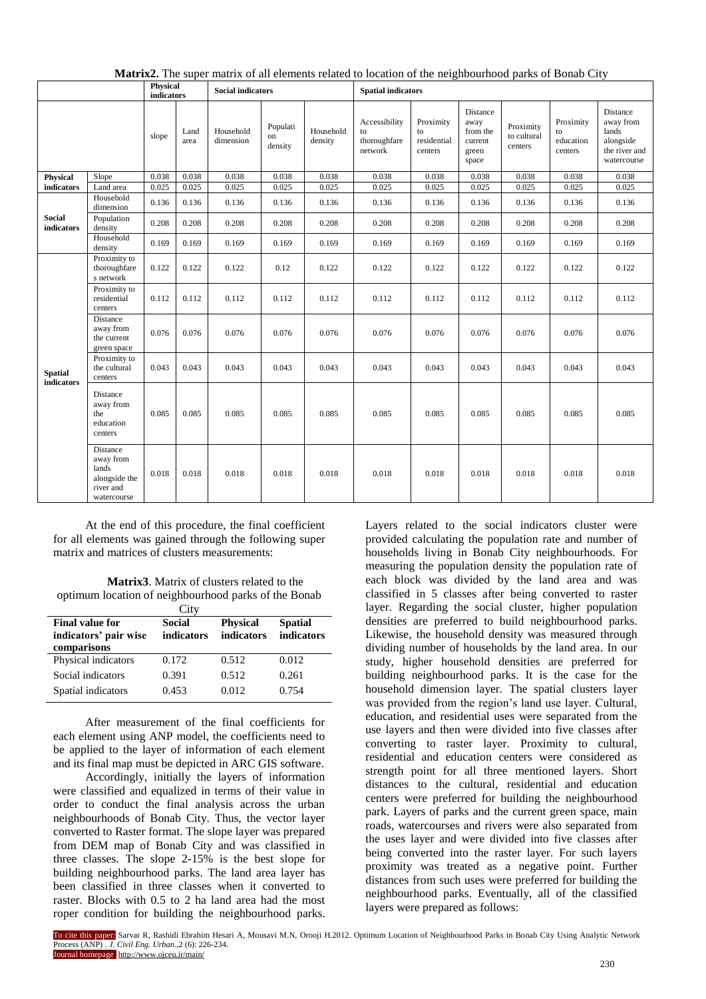|                              |                                                                             | <b>Physical</b><br>indicators |              | <b>Social indicators</b> |                           |                      | <b>Spatial indicators</b>                      |                                           |                                                           |                                     |                                         |                                                                             |
|------------------------------|-----------------------------------------------------------------------------|-------------------------------|--------------|--------------------------|---------------------------|----------------------|------------------------------------------------|-------------------------------------------|-----------------------------------------------------------|-------------------------------------|-----------------------------------------|-----------------------------------------------------------------------------|
|                              |                                                                             | slope                         | Land<br>area | Household<br>dimension   | Populati<br>on<br>density | Household<br>density | Accessibility<br>to<br>thoroughfare<br>network | Proximity<br>to<br>residential<br>centers | Distance<br>away<br>from the<br>current<br>green<br>space | Proximity<br>to cultural<br>centers | Proximity<br>to<br>education<br>centers | Distance<br>away from<br>lands<br>alongside<br>the river and<br>watercourse |
| <b>Physical</b>              | Slope                                                                       | 0.038                         | 0.038        | 0.038                    | 0.038                     | 0.038                | 0.038                                          | 0.038                                     | 0.038                                                     | 0.038                               | 0.038                                   | 0.038                                                                       |
| indicators                   | Land area                                                                   | 0.025                         | 0.025        | 0.025                    | 0.025                     | 0.025                | 0.025                                          | 0.025                                     | 0.025                                                     | 0.025                               | 0.025                                   | 0.025                                                                       |
| <b>Social</b><br>indicators  | Household<br>dimension                                                      | 0.136                         | 0.136        | 0.136                    | 0.136                     | 0.136                | 0.136                                          | 0.136                                     | 0.136                                                     | 0.136                               | 0.136                                   | 0.136                                                                       |
|                              | Population<br>density                                                       | 0.208                         | 0.208        | 0.208                    | 0.208                     | 0.208                | 0.208                                          | 0.208                                     | 0.208                                                     | 0.208                               | 0.208                                   | 0.208                                                                       |
|                              | Household<br>density                                                        | 0.169                         | 0.169        | 0.169                    | 0.169                     | 0.169                | 0.169                                          | 0.169                                     | 0.169                                                     | 0.169                               | 0.169                                   | 0.169                                                                       |
| <b>Spatial</b><br>indicators | Proximity to<br>thoroughfare<br>s network                                   | 0.122                         | 0.122        | 0.122                    | 0.12                      | 0.122                | 0.122                                          | 0.122                                     | 0.122                                                     | 0.122                               | 0.122                                   | 0.122                                                                       |
|                              | Proximity to<br>residential<br>centers                                      | 0.112                         | 0.112        | 0.112                    | 0.112                     | 0.112                | 0.112                                          | 0.112                                     | 0.112                                                     | 0.112                               | 0.112                                   | 0.112                                                                       |
|                              | Distance<br>away from<br>the current<br>green space                         | 0.076                         | 0.076        | 0.076                    | 0.076                     | 0.076                | 0.076                                          | 0.076                                     | 0.076                                                     | 0.076                               | 0.076                                   | 0.076                                                                       |
|                              | Proximity to<br>the cultural<br>centers                                     | 0.043                         | 0.043        | 0.043                    | 0.043                     | 0.043                | 0.043                                          | 0.043                                     | 0.043                                                     | 0.043                               | 0.043                                   | 0.043                                                                       |
|                              | Distance<br>away from<br>the<br>education<br>centers                        | 0.085                         | 0.085        | 0.085                    | 0.085                     | 0.085                | 0.085                                          | 0.085                                     | 0.085                                                     | 0.085                               | 0.085                                   | 0.085                                                                       |
|                              | Distance<br>away from<br>lands<br>alongside the<br>river and<br>watercourse | 0.018                         | 0.018        | 0.018                    | 0.018                     | 0.018                | 0.018                                          | 0.018                                     | 0.018                                                     | 0.018                               | 0.018                                   | 0.018                                                                       |

**Matrix2.** The super matrix of all elements related to location of the neighbourhood parks of Bonab City

At the end of this procedure, the final coefficient for all elements was gained through the following super matrix and matrices of clusters measurements:

**Matrix3**. Matrix of clusters related to the optimum location of neighbourhood parks of the Bonab

|                                                 | City                        |                               |                              |
|-------------------------------------------------|-----------------------------|-------------------------------|------------------------------|
| <b>Final value for</b><br>indicators' pair wise | <b>Social</b><br>indicators | <b>Physical</b><br>indicators | <b>Spatial</b><br>indicators |
| comparisons                                     |                             |                               |                              |
| Physical indicators                             | 0.172                       | 0.512                         | 0.012                        |
| Social indicators                               | 0.391                       | 0.512                         | 0.261                        |
| Spatial indicators                              | 0.453                       | 0.012                         | 0.754                        |

After measurement of the final coefficients for each element using ANP model, the coefficients need to be applied to the layer of information of each element and its final map must be depicted in ARC GIS software.

Accordingly, initially the layers of information were classified and equalized in terms of their value in order to conduct the final analysis across the urban neighbourhoods of Bonab City. Thus, the vector layer converted to Raster format. The slope layer was prepared from DEM map of Bonab City and was classified in three classes. The slope 2-15% is the best slope for building neighbourhood parks. The land area layer has been classified in three classes when it converted to raster. Blocks with 0.5 to 2 ha land area had the most roper condition for building the neighbourhood parks. Layers related to the social indicators cluster were provided calculating the population rate and number of households living in Bonab City neighbourhoods. For measuring the population density the population rate of each block was divided by the land area and was classified in 5 classes after being converted to raster layer. Regarding the social cluster, higher population densities are preferred to build neighbourhood parks. Likewise, the household density was measured through dividing number of households by the land area. In our study, higher household densities are preferred for building neighbourhood parks. It is the case for the household dimension layer. The spatial clusters layer was provided from the region's land use layer. Cultural, education, and residential uses were separated from the use layers and then were divided into five classes after converting to raster layer. Proximity to cultural, residential and education centers were considered as strength point for all three mentioned layers. Short distances to the cultural, residential and education centers were preferred for building the neighbourhood park. Layers of parks and the current green space, main roads, watercourses and rivers were also separated from the uses layer and were divided into five classes after being converted into the raster layer. For such layers proximity was treated as a negative point. Further distances from such uses were preferred for building the neighbourhood parks. Eventually, all of the classified layers were prepared as follows: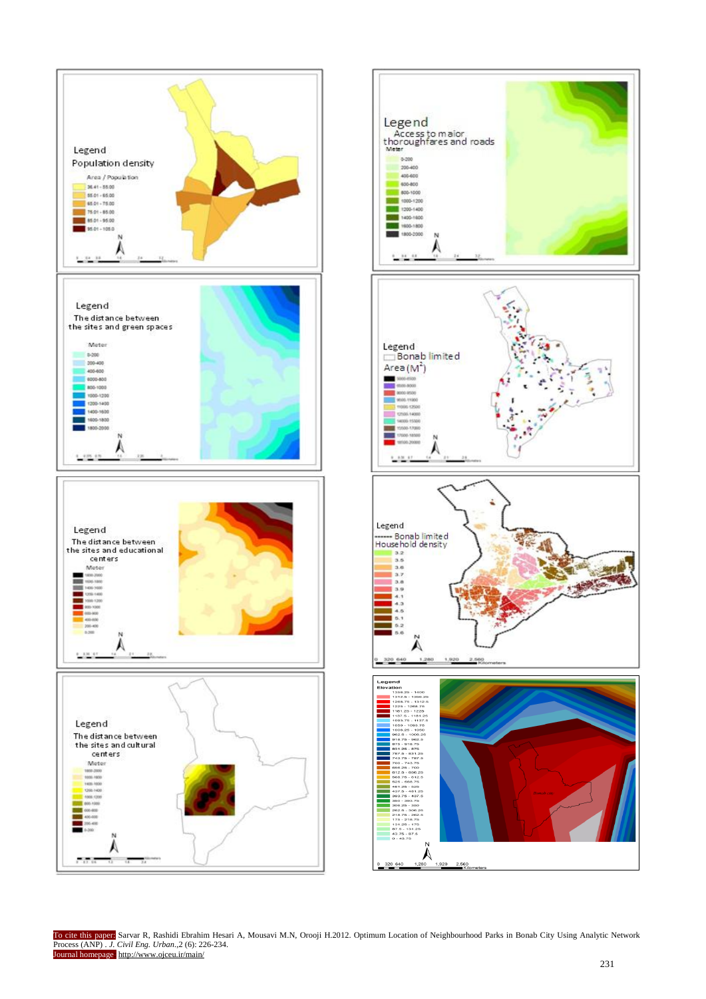



To cite this paper: Sarvar R, Rashidi Ebrahim Hesari A, Mousavi M.N, Orooji H.2012. Optimum Location of Neighbourhood Parks in Bonab City Using Analytic Network Process (ANP) . *J. Civil Eng. Urban*.,2 (6): 226-234. Journal homepage: http://www.ojceu.ir/main/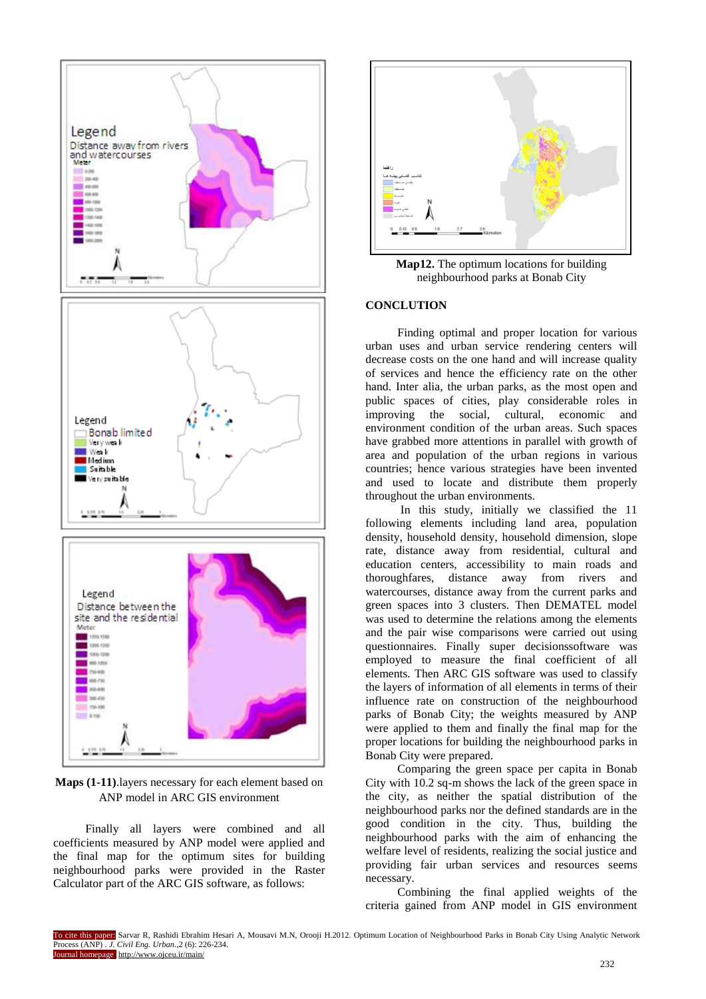

**Maps (1-11)**.layers necessary for each element based on ANP model in ARC GIS environment

Finally all layers were combined and all coefficients measured by ANP model were applied and the final map for the optimum sites for building neighbourhood parks were provided in the Raster Calculator part of the ARC GIS software, as follows:



**Map12.** The optimum locations for building neighbourhood parks at Bonab City

## **CONCLUTION**

Finding optimal and proper location for various urban uses and urban service rendering centers will decrease costs on the one hand and will increase quality of services and hence the efficiency rate on the other hand. Inter alia, the urban parks, as the most open and public spaces of cities, play considerable roles in improving the social, cultural, economic and environment condition of the urban areas. Such spaces have grabbed more attentions in parallel with growth of area and population of the urban regions in various countries; hence various strategies have been invented and used to locate and distribute them properly throughout the urban environments.

In this study, initially we classified the 11 following elements including land area, population density, household density, household dimension, slope rate, distance away from residential, cultural and education centers, accessibility to main roads and thoroughfares, distance away from rivers and watercourses, distance away from the current parks and green spaces into 3 clusters. Then DEMATEL model was used to determine the relations among the elements and the pair wise comparisons were carried out using questionnaires. Finally super decisionssoftware was employed to measure the final coefficient of all elements. Then ARC GIS software was used to classify the layers of information of all elements in terms of their influence rate on construction of the neighbourhood parks of Bonab City; the weights measured by ANP were applied to them and finally the final map for the proper locations for building the neighbourhood parks in Bonab City were prepared.

Comparing the green space per capita in Bonab City with 10.2 sq-m shows the lack of the green space in the city, as neither the spatial distribution of the neighbourhood parks nor the defined standards are in the good condition in the city. Thus, building the neighbourhood parks with the aim of enhancing the welfare level of residents, realizing the social justice and providing fair urban services and resources seems necessary.

Combining the final applied weights of the criteria gained from ANP model in GIS environment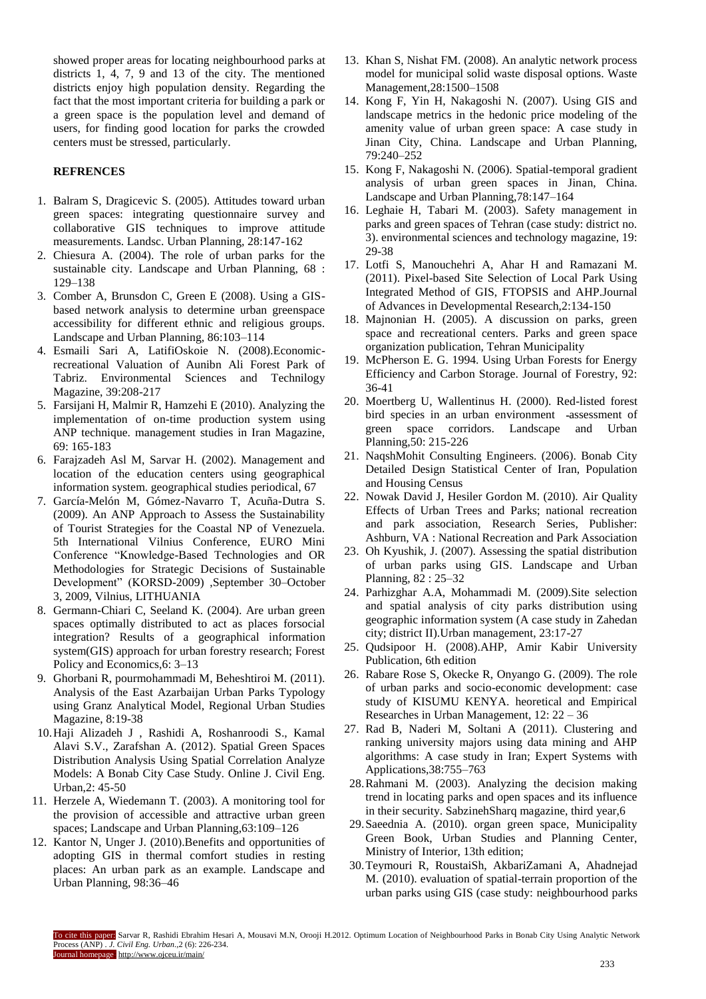showed proper areas for locating neighbourhood parks at districts 1, 4, 7, 9 and 13 of the city. The mentioned districts enjoy high population density. Regarding the fact that the most important criteria for building a park or a green space is the population level and demand of users, for finding good location for parks the crowded centers must be stressed, particularly.

## **REFRENCES**

- 1. Balram S, Dragicevic S. (2005). Attitudes toward urban green spaces: integrating questionnaire survey and collaborative GIS techniques to improve attitude measurements. Landsc. Urban Planning, 28:147-162
- 2. Chiesura A. (2004). The role of urban parks for the sustainable city. Landscape and Urban Planning, 68 : 129–138
- 3. Comber A, Brunsdon C, Green E (2008). Using a GISbased network analysis to determine urban greenspace accessibility for different ethnic and religious groups. Landscape and Urban Planning, 86:103–114
- 4. Esmaili Sari A, LatifiOskoie N. (2008).Economicrecreational Valuation of Aunibn Ali Forest Park of Tabriz. Environmental Sciences and Technilogy Magazine, 39:208-217
- 5. Farsijani H, Malmir R, Hamzehi E (2010). Analyzing the implementation of on-time production system using ANP technique. management studies in Iran Magazine, 69: 165-183
- 6. Farajzadeh Asl M, Sarvar H. (2002). Management and location of the education centers using geographical information system. geographical studies periodical, 67
- 7. García-Melón M, Gómez-Navarro T, Acuña-Dutra S. (2009). An ANP Approach to Assess the Sustainability of Tourist Strategies for the Coastal NP of Venezuela. 5th International Vilnius Conference, EURO Mini Conference "Knowledge-Based Technologies and OR Methodologies for Strategic Decisions of Sustainable Development" (KORSD-2009) ,September 30–October 3, 2009, Vilnius, LITHUANIA
- 8. Germann-Chiari C, Seeland K. (2004). Are urban green spaces optimally distributed to act as places forsocial integration? Results of a geographical information system(GIS) approach for urban forestry research; Forest Policy and Economics,6: 3–13
- 9. Ghorbani R, pourmohammadi M, Beheshtiroi M. (2011). Analysis of the East Azarbaijan Urban Parks Typology using Granz Analytical Model, Regional Urban Studies Magazine, 8:19-38
- 10.Haji Alizadeh J , Rashidi A, Roshanroodi S., Kamal Alavi S.V., Zarafshan A. (2012). Spatial Green Spaces Distribution Analysis Using Spatial Correlation Analyze Models: A Bonab City Case Study. Online J. Civil Eng. Urban,2: 45-50
- 11. Herzele A, Wiedemann T. (2003). A monitoring tool for the provision of accessible and attractive urban green spaces; Landscape and Urban Planning,63:109–126
- 12. Kantor N, Unger J. (2010). Benefits and opportunities of adopting GIS in thermal comfort studies in resting places: An urban park as an example. Landscape and Urban Planning, 98:36–46
- 13. Khan S, Nishat FM. (2008). An analytic network process model for municipal solid waste disposal options. Waste Management,28:1500–1508
- 14. Kong F, Yin H, Nakagoshi N. (2007). Using GIS and landscape metrics in the hedonic price modeling of the amenity value of urban green space: A case study in Jinan City, China. Landscape and Urban Planning, 79:240–252
- 15. Kong F, Nakagoshi N. (2006). Spatial-temporal gradient analysis of urban green spaces in Jinan, China. Landscape and Urban Planning,78:147–164
- 16. Leghaie H, Tabari M. (2003). Safety management in parks and green spaces of Tehran (case study: district no. 3). environmental sciences and technology magazine, 19: 29-38
- 17. Lotfi S, Manouchehri A, Ahar H and Ramazani M. (2011). Pixel-based Site Selection of Local Park Using Integrated Method of GIS, FTOPSIS and AHP.Journal of Advances in Developmental Research,2:134-150
- 18. Majnonian H. (2005). A discussion on parks, green space and recreational centers. Parks and green space organization publication, Tehran Municipality
- 19. McPherson E. G. 1994. Using Urban Forests for Energy Efficiency and Carbon Storage. Journal of Forestry, 92: 36-41
- 20. Moertberg U, Wallentinus H. (2000). Red-listed forest bird species in an urban environment ـassessment of green space corridors. Landscape and Urban Planning,50: 215-226
- 21. NaqshMohit Consulting Engineers. (2006). Bonab City Detailed Design Statistical Center of Iran, Population and Housing Census
- 22. Nowak David J, Hesiler Gordon M. (2010). Air Quality Effects of Urban Trees and Parks; national recreation and park association, Research Series, Publisher: Ashburn, VA : National Recreation and Park Association
- 23. Oh Kyushik, J. (2007). Assessing the spatial distribution of urban parks using GIS. Landscape and Urban Planning, 82 : 25–32
- 24. Parhizghar A.A, Mohammadi M. (2009).Site selection and spatial analysis of city parks distribution using geographic information system (A case study in Zahedan city; district II).Urban management, 23:17-27
- 25. Qudsipoor H. (2008).AHP, Amir Kabir University Publication, 6th edition
- 26. Rabare Rose S, Okecke R, Onyango G. (2009). The role of urban parks and socio-economic development: case study of KISUMU KENYA. heoretical and Empirical Researches in Urban Management, 12: 22 – 36
- 27. Rad B, Naderi M, Soltani A (2011). Clustering and ranking university majors using data mining and AHP algorithms: A case study in Iran; Expert Systems with Applications,38:755–763
- 28.Rahmani M. (2003). Analyzing the decision making trend in locating parks and open spaces and its influence in their security. SabzinehSharq magazine, third year,6
- 29.Saeednia A. (2010). organ green space, Municipality Green Book, Urban Studies and Planning Center, Ministry of Interior, 13th edition;
- 30.Teymouri R, RoustaiSh, AkbariZamani A, Ahadnejad M. (2010). evaluation of spatial-terrain proportion of the urban parks using GIS (case study: neighbourhood parks